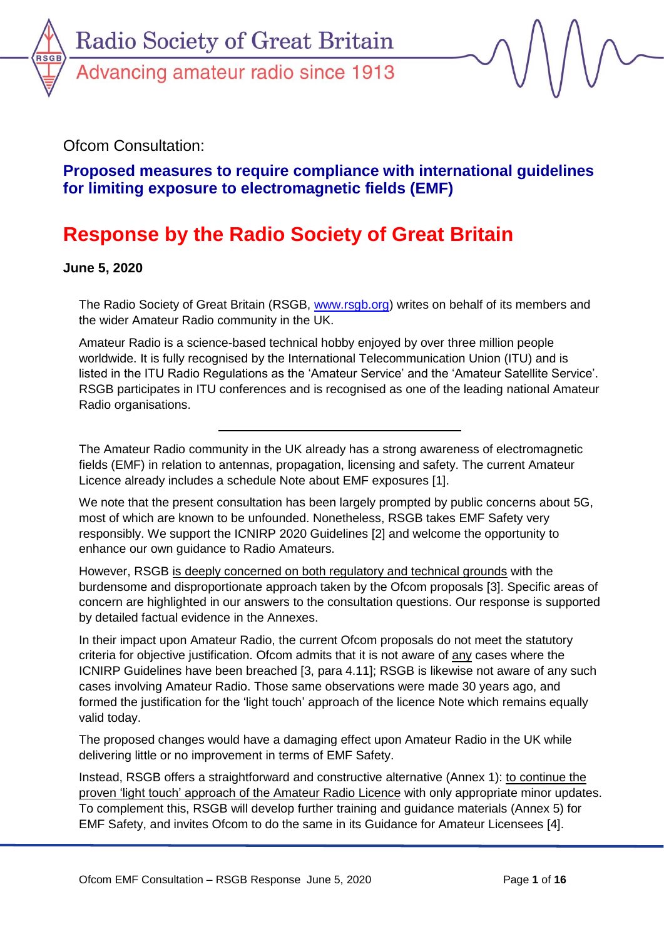

Ofcom Consultation:

**Proposed measures to require compliance with international guidelines for limiting exposure to electromagnetic fields (EMF)**

# **Response by the Radio Society of Great Britain**

**June 5, 2020**

The Radio Society of Great Britain (RSGB, [www.rsgb.org\)](http://www.rsgb.org/) writes on behalf of its members and the wider Amateur Radio community in the UK.

Amateur Radio is a science-based technical hobby enjoyed by over three million people worldwide. It is fully recognised by the International Telecommunication Union (ITU) and is listed in the ITU Radio Regulations as the 'Amateur Service' and the 'Amateur Satellite Service'. RSGB participates in ITU conferences and is recognised as one of the leading national Amateur Radio organisations.

The Amateur Radio community in the UK already has a strong awareness of electromagnetic fields (EMF) in relation to antennas, propagation, licensing and safety. The current Amateur Licence already includes a schedule Note about EMF exposures [1].

We note that the present consultation has been largely prompted by public concerns about 5G, most of which are known to be unfounded. Nonetheless, RSGB takes EMF Safety very responsibly. We support the ICNIRP 2020 Guidelines [2] and welcome the opportunity to enhance our own guidance to Radio Amateurs.

However, RSGB is deeply concerned on both regulatory and technical grounds with the burdensome and disproportionate approach taken by the Ofcom proposals [3]. Specific areas of concern are highlighted in our answers to the consultation questions. Our response is supported by detailed factual evidence in the Annexes.

In their impact upon Amateur Radio, the current Ofcom proposals do not meet the statutory criteria for objective justification. Ofcom admits that it is not aware of any cases where the ICNIRP Guidelines have been breached [3, para 4.11]; RSGB is likewise not aware of any such cases involving Amateur Radio. Those same observations were made 30 years ago, and formed the justification for the 'light touch' approach of the licence Note which remains equally valid today.

The proposed changes would have a damaging effect upon Amateur Radio in the UK while delivering little or no improvement in terms of EMF Safety.

Instead, RSGB offers a straightforward and constructive alternative (Annex 1): to continue the proven 'light touch' approach of the Amateur Radio Licence with only appropriate minor updates. To complement this, RSGB will develop further training and guidance materials (Annex 5) for EMF Safety, and invites Ofcom to do the same in its Guidance for Amateur Licensees [4].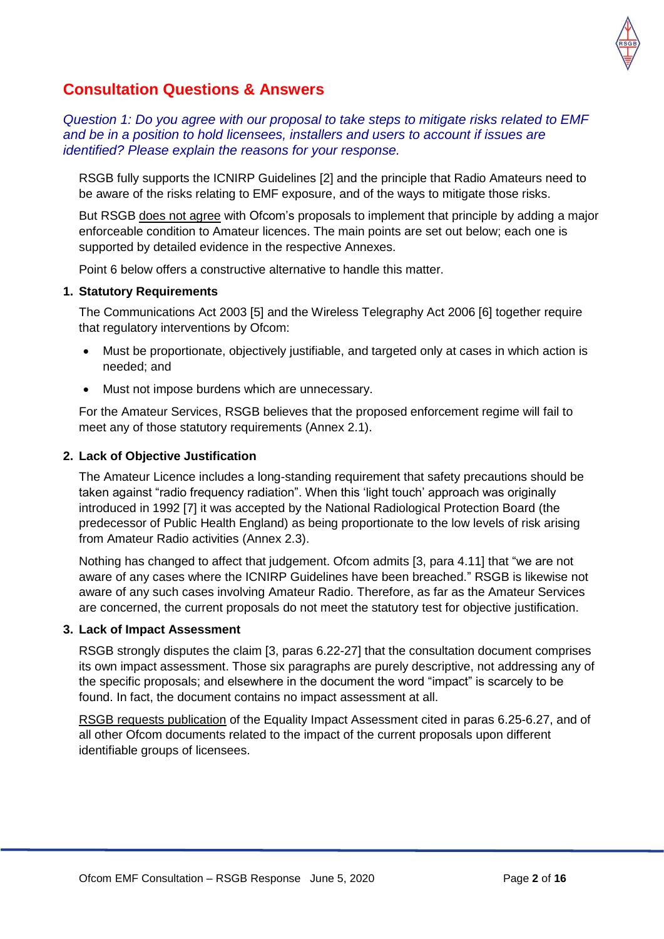

## **Consultation Questions & Answers**

*Question 1: Do you agree with our proposal to take steps to mitigate risks related to EMF and be in a position to hold licensees, installers and users to account if issues are identified? Please explain the reasons for your response.*

RSGB fully supports the ICNIRP Guidelines [2] and the principle that Radio Amateurs need to be aware of the risks relating to EMF exposure, and of the ways to mitigate those risks.

But RSGB does not agree with Ofcom's proposals to implement that principle by adding a major enforceable condition to Amateur licences. The main points are set out below; each one is supported by detailed evidence in the respective Annexes.

Point 6 below offers a constructive alternative to handle this matter.

#### **1. Statutory Requirements**

The Communications Act 2003 [5] and the Wireless Telegraphy Act 2006 [6] together require that regulatory interventions by Ofcom:

- Must be proportionate, objectively justifiable, and targeted only at cases in which action is needed; and
- Must not impose burdens which are unnecessary.

For the Amateur Services, RSGB believes that the proposed enforcement regime will fail to meet any of those statutory requirements (Annex 2.1).

#### **2. Lack of Objective Justification**

The Amateur Licence includes a long-standing requirement that safety precautions should be taken against "radio frequency radiation". When this 'light touch' approach was originally introduced in 1992 [7] it was accepted by the National Radiological Protection Board (the predecessor of Public Health England) as being proportionate to the low levels of risk arising from Amateur Radio activities (Annex 2.3).

Nothing has changed to affect that judgement. Ofcom admits [3, para 4.11] that "we are not aware of any cases where the ICNIRP Guidelines have been breached." RSGB is likewise not aware of any such cases involving Amateur Radio. Therefore, as far as the Amateur Services are concerned, the current proposals do not meet the statutory test for objective justification.

#### **3. Lack of Impact Assessment**

RSGB strongly disputes the claim [3, paras 6.22-27] that the consultation document comprises its own impact assessment. Those six paragraphs are purely descriptive, not addressing any of the specific proposals; and elsewhere in the document the word "impact" is scarcely to be found. In fact, the document contains no impact assessment at all.

RSGB requests publication of the Equality Impact Assessment cited in paras 6.25-6.27, and of all other Ofcom documents related to the impact of the current proposals upon different identifiable groups of licensees.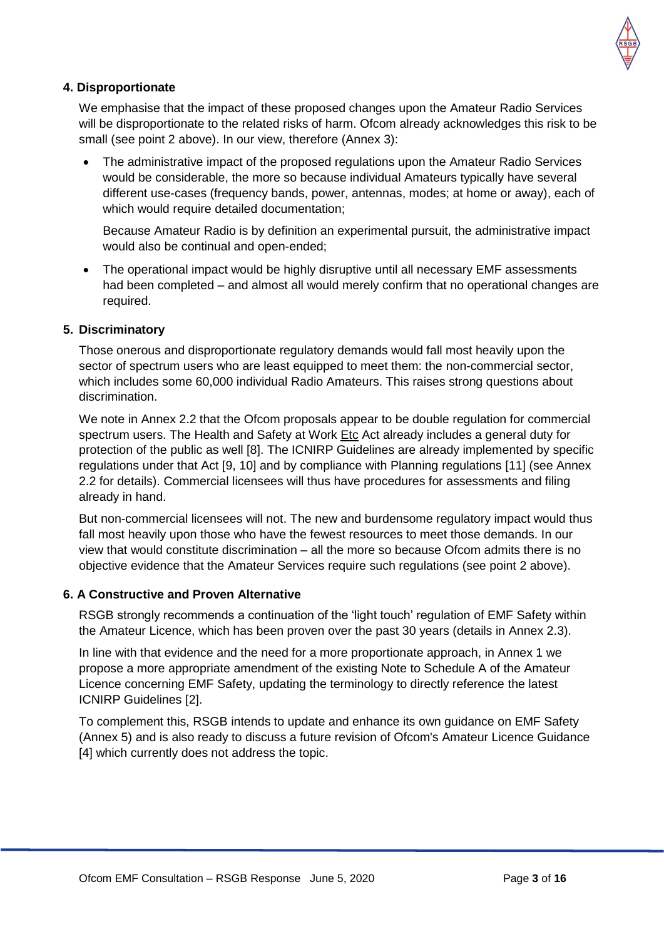

#### **4. Disproportionate**

We emphasise that the impact of these proposed changes upon the Amateur Radio Services will be disproportionate to the related risks of harm. Ofcom already acknowledges this risk to be small (see point 2 above). In our view, therefore (Annex 3):

 The administrative impact of the proposed regulations upon the Amateur Radio Services would be considerable, the more so because individual Amateurs typically have several different use-cases (frequency bands, power, antennas, modes; at home or away), each of which would require detailed documentation;

Because Amateur Radio is by definition an experimental pursuit, the administrative impact would also be continual and open-ended;

 The operational impact would be highly disruptive until all necessary EMF assessments had been completed – and almost all would merely confirm that no operational changes are required.

#### **5. Discriminatory**

Those onerous and disproportionate regulatory demands would fall most heavily upon the sector of spectrum users who are least equipped to meet them: the non-commercial sector, which includes some 60,000 individual Radio Amateurs. This raises strong questions about discrimination.

We note in Annex 2.2 that the Ofcom proposals appear to be double regulation for commercial spectrum users. The Health and Safety at Work Etc Act already includes a general duty for protection of the public as well [8]. The ICNIRP Guidelines are already implemented by specific regulations under that Act [9, 10] and by compliance with Planning regulations [11] (see Annex 2.2 for details). Commercial licensees will thus have procedures for assessments and filing already in hand.

But non-commercial licensees will not. The new and burdensome regulatory impact would thus fall most heavily upon those who have the fewest resources to meet those demands. In our view that would constitute discrimination – all the more so because Ofcom admits there is no objective evidence that the Amateur Services require such regulations (see point 2 above).

#### **6. A Constructive and Proven Alternative**

RSGB strongly recommends a continuation of the 'light touch' regulation of EMF Safety within the Amateur Licence, which has been proven over the past 30 years (details in Annex 2.3).

In line with that evidence and the need for a more proportionate approach, in Annex 1 we propose a more appropriate amendment of the existing Note to Schedule A of the Amateur Licence concerning EMF Safety, updating the terminology to directly reference the latest ICNIRP Guidelines [2].

To complement this, RSGB intends to update and enhance its own guidance on EMF Safety (Annex 5) and is also ready to discuss a future revision of Ofcom's Amateur Licence Guidance [4] which currently does not address the topic.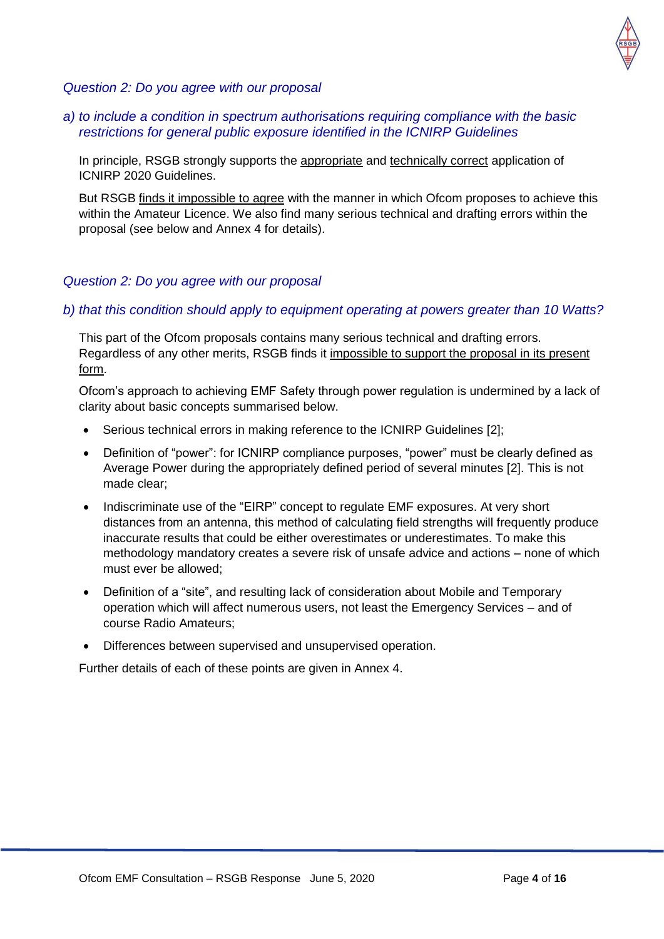

#### *Question 2: Do you agree with our proposal*

#### *a) to include a condition in spectrum authorisations requiring compliance with the basic restrictions for general public exposure identified in the ICNIRP Guidelines*

In principle, RSGB strongly supports the appropriate and technically correct application of ICNIRP 2020 Guidelines.

But RSGB finds it impossible to agree with the manner in which Ofcom proposes to achieve this within the Amateur Licence. We also find many serious technical and drafting errors within the proposal (see below and Annex 4 for details).

#### *Question 2: Do you agree with our proposal*

#### *b) that this condition should apply to equipment operating at powers greater than 10 Watts?*

This part of the Ofcom proposals contains many serious technical and drafting errors. Regardless of any other merits, RSGB finds it impossible to support the proposal in its present form.

Ofcom's approach to achieving EMF Safety through power regulation is undermined by a lack of clarity about basic concepts summarised below.

- Serious technical errors in making reference to the ICNIRP Guidelines [2];
- Definition of "power": for ICNIRP compliance purposes, "power" must be clearly defined as Average Power during the appropriately defined period of several minutes [2]. This is not made clear;
- Indiscriminate use of the "EIRP" concept to regulate EMF exposures. At very short distances from an antenna, this method of calculating field strengths will frequently produce inaccurate results that could be either overestimates or underestimates. To make this methodology mandatory creates a severe risk of unsafe advice and actions – none of which must ever be allowed;
- Definition of a "site", and resulting lack of consideration about Mobile and Temporary operation which will affect numerous users, not least the Emergency Services – and of course Radio Amateurs;
- Differences between supervised and unsupervised operation.

Further details of each of these points are given in Annex 4.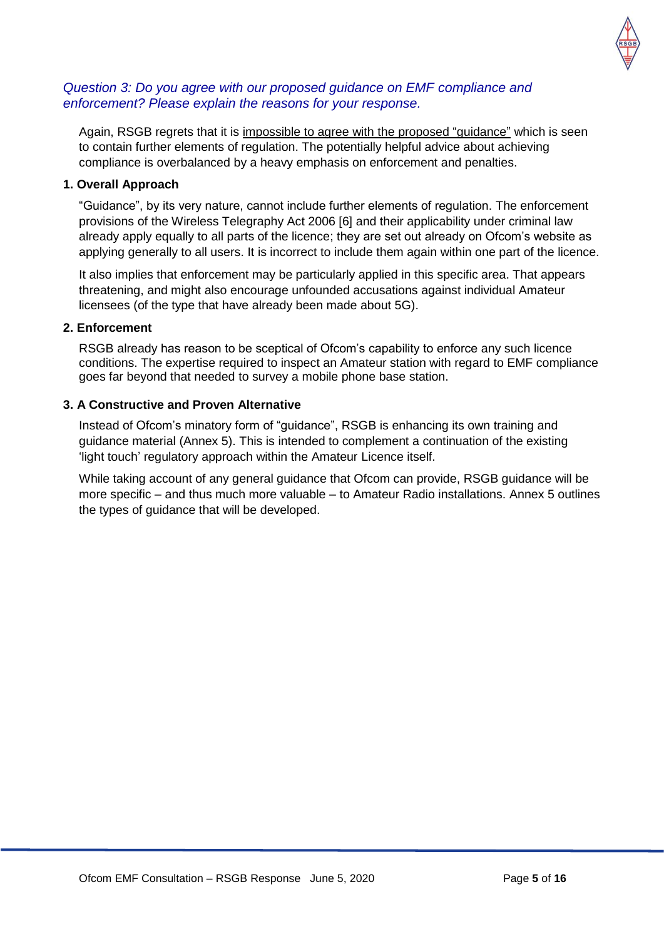

#### *Question 3: Do you agree with our proposed guidance on EMF compliance and enforcement? Please explain the reasons for your response.*

Again, RSGB regrets that it is impossible to agree with the proposed "guidance" which is seen to contain further elements of regulation. The potentially helpful advice about achieving compliance is overbalanced by a heavy emphasis on enforcement and penalties.

#### **1. Overall Approach**

"Guidance", by its very nature, cannot include further elements of regulation. The enforcement provisions of the Wireless Telegraphy Act 2006 [6] and their applicability under criminal law already apply equally to all parts of the licence; they are set out already on Ofcom's website as applying generally to all users. It is incorrect to include them again within one part of the licence.

It also implies that enforcement may be particularly applied in this specific area. That appears threatening, and might also encourage unfounded accusations against individual Amateur licensees (of the type that have already been made about 5G).

#### **2. Enforcement**

RSGB already has reason to be sceptical of Ofcom's capability to enforce any such licence conditions. The expertise required to inspect an Amateur station with regard to EMF compliance goes far beyond that needed to survey a mobile phone base station.

#### **3. A Constructive and Proven Alternative**

Instead of Ofcom's minatory form of "guidance", RSGB is enhancing its own training and guidance material (Annex 5). This is intended to complement a continuation of the existing 'light touch' regulatory approach within the Amateur Licence itself.

While taking account of any general guidance that Ofcom can provide, RSGB guidance will be more specific – and thus much more valuable – to Amateur Radio installations. Annex 5 outlines the types of guidance that will be developed.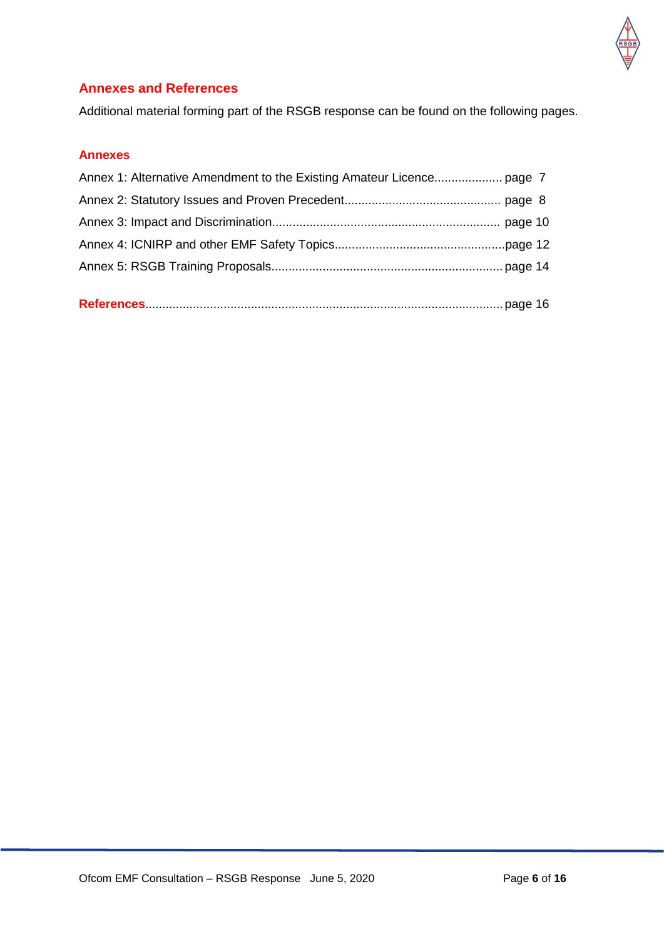

## **Annexes and References**

Additional material forming part of the RSGB response can be found on the following pages.

#### **Annexes**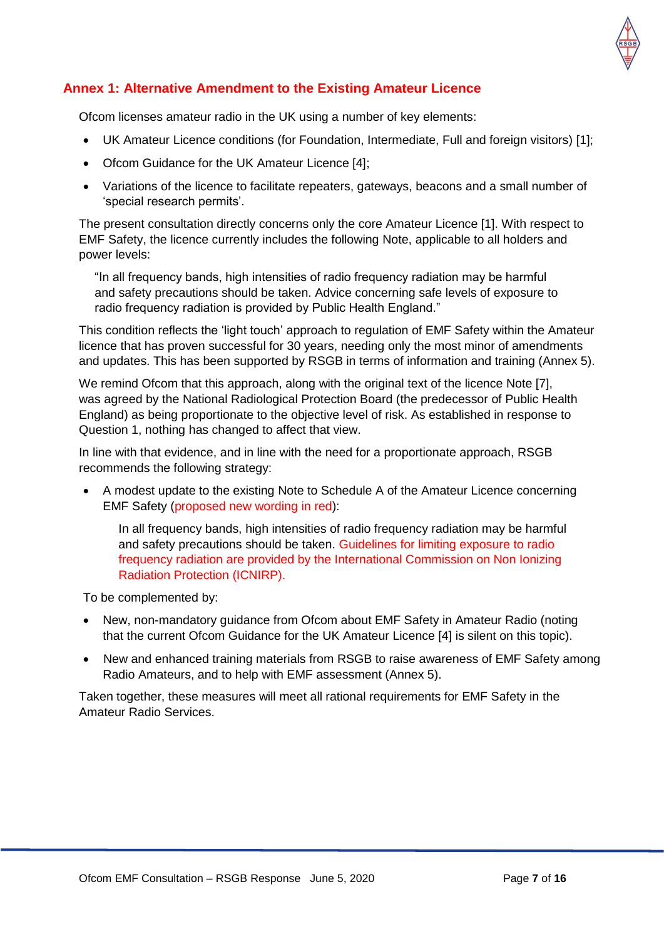

## **Annex 1: Alternative Amendment to the Existing Amateur Licence**

Ofcom licenses amateur radio in the UK using a number of key elements:

- UK Amateur Licence conditions (for Foundation, Intermediate, Full and foreign visitors) [1];
- Ofcom Guidance for the UK Amateur Licence [4];
- Variations of the licence to facilitate repeaters, gateways, beacons and a small number of 'special research permits'.

The present consultation directly concerns only the core Amateur Licence [1]. With respect to EMF Safety, the licence currently includes the following Note, applicable to all holders and power levels:

"In all frequency bands, high intensities of radio frequency radiation may be harmful and safety precautions should be taken. Advice concerning safe levels of exposure to radio frequency radiation is provided by Public Health England."

This condition reflects the 'light touch' approach to regulation of EMF Safety within the Amateur licence that has proven successful for 30 years, needing only the most minor of amendments and updates. This has been supported by RSGB in terms of information and training (Annex 5).

We remind Ofcom that this approach, along with the original text of the licence Note [7], was agreed by the National Radiological Protection Board (the predecessor of Public Health England) as being proportionate to the objective level of risk. As established in response to Question 1, nothing has changed to affect that view.

In line with that evidence, and in line with the need for a proportionate approach, RSGB recommends the following strategy:

 A modest update to the existing Note to Schedule A of the Amateur Licence concerning EMF Safety (proposed new wording in red):

In all frequency bands, high intensities of radio frequency radiation may be harmful and safety precautions should be taken. Guidelines for limiting exposure to radio frequency radiation are provided by the International Commission on Non Ionizing Radiation Protection (ICNIRP).

To be complemented by:

- New, non-mandatory guidance from Ofcom about EMF Safety in Amateur Radio (noting that the current Ofcom Guidance for the UK Amateur Licence [4] is silent on this topic).
- New and enhanced training materials from RSGB to raise awareness of EMF Safety among Radio Amateurs, and to help with EMF assessment (Annex 5).

Taken together, these measures will meet all rational requirements for EMF Safety in the Amateur Radio Services.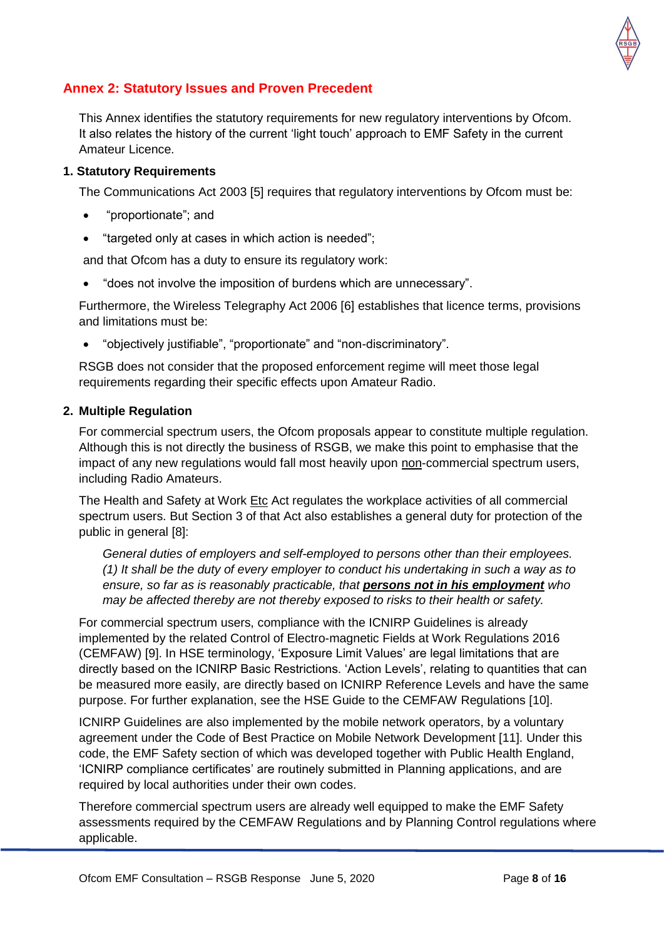

## **Annex 2: Statutory Issues and Proven Precedent**

This Annex identifies the statutory requirements for new regulatory interventions by Ofcom. It also relates the history of the current 'light touch' approach to EMF Safety in the current Amateur Licence.

#### **1. Statutory Requirements**

The Communications Act 2003 [5] requires that regulatory interventions by Ofcom must be:

- "proportionate"; and
- "targeted only at cases in which action is needed";

and that Ofcom has a duty to ensure its regulatory work:

"does not involve the imposition of burdens which are unnecessary".

Furthermore, the Wireless Telegraphy Act 2006 [6] establishes that licence terms, provisions and limitations must be:

"objectively justifiable", "proportionate" and "non-discriminatory".

RSGB does not consider that the proposed enforcement regime will meet those legal requirements regarding their specific effects upon Amateur Radio.

#### **2. Multiple Regulation**

For commercial spectrum users, the Ofcom proposals appear to constitute multiple regulation. Although this is not directly the business of RSGB, we make this point to emphasise that the impact of any new regulations would fall most heavily upon non-commercial spectrum users, including Radio Amateurs.

The Health and Safety at Work Etc Act regulates the workplace activities of all commercial spectrum users. But Section 3 of that Act also establishes a general duty for protection of the public in general [8]:

*General duties of employers and self-employed to persons other than their employees. (1) It shall be the duty of every employer to conduct his undertaking in such a way as to ensure, so far as is reasonably practicable, that persons not in his employment who may be affected thereby are not thereby exposed to risks to their health or safety.*

For commercial spectrum users, compliance with the ICNIRP Guidelines is already implemented by the related Control of Electro-magnetic Fields at Work Regulations 2016 (CEMFAW) [9]. In HSE terminology, 'Exposure Limit Values' are legal limitations that are directly based on the ICNIRP Basic Restrictions. 'Action Levels', relating to quantities that can be measured more easily, are directly based on ICNIRP Reference Levels and have the same purpose. For further explanation, see the HSE Guide to the CEMFAW Regulations [10].

ICNIRP Guidelines are also implemented by the mobile network operators, by a voluntary agreement under the Code of Best Practice on Mobile Network Development [11]. Under this code, the EMF Safety section of which was developed together with Public Health England, 'ICNIRP compliance certificates' are routinely submitted in Planning applications, and are required by local authorities under their own codes.

Therefore commercial spectrum users are already well equipped to make the EMF Safety assessments required by the CEMFAW Regulations and by Planning Control regulations where applicable.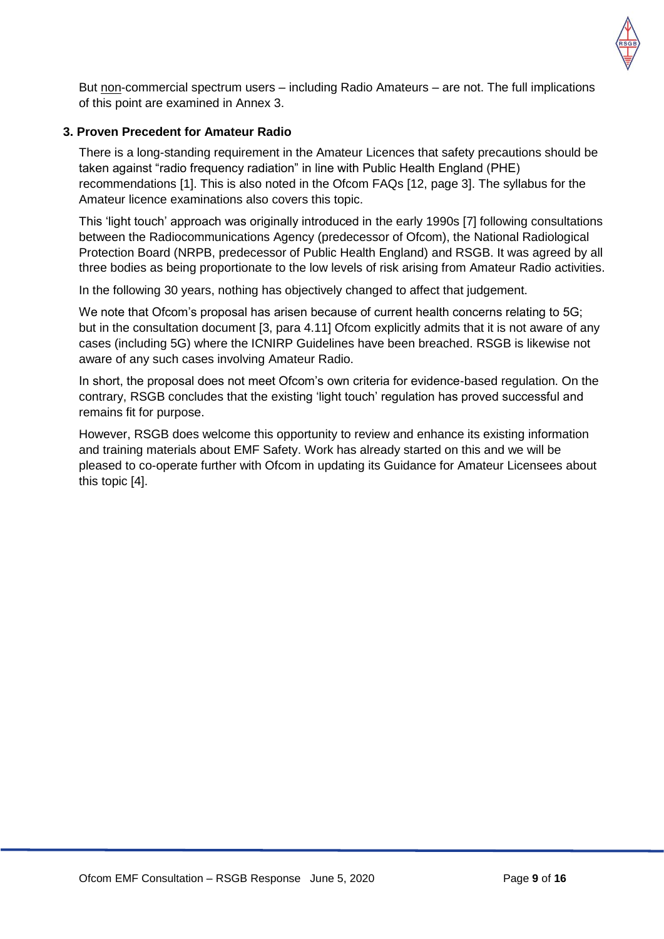

But non-commercial spectrum users – including Radio Amateurs – are not. The full implications of this point are examined in Annex 3.

#### **3. Proven Precedent for Amateur Radio**

There is a long-standing requirement in the Amateur Licences that safety precautions should be taken against "radio frequency radiation" in line with Public Health England (PHE) recommendations [1]. This is also noted in the Ofcom FAQs [12, page 3]. The syllabus for the Amateur licence examinations also covers this topic.

This 'light touch' approach was originally introduced in the early 1990s [7] following consultations between the Radiocommunications Agency (predecessor of Ofcom), the National Radiological Protection Board (NRPB, predecessor of Public Health England) and RSGB. It was agreed by all three bodies as being proportionate to the low levels of risk arising from Amateur Radio activities.

In the following 30 years, nothing has objectively changed to affect that judgement.

We note that Ofcom's proposal has arisen because of current health concerns relating to 5G; but in the consultation document [3, para 4.11] Ofcom explicitly admits that it is not aware of any cases (including 5G) where the ICNIRP Guidelines have been breached. RSGB is likewise not aware of any such cases involving Amateur Radio.

In short, the proposal does not meet Ofcom's own criteria for evidence-based regulation. On the contrary, RSGB concludes that the existing 'light touch' regulation has proved successful and remains fit for purpose.

However, RSGB does welcome this opportunity to review and enhance its existing information and training materials about EMF Safety. Work has already started on this and we will be pleased to co-operate further with Ofcom in updating its Guidance for Amateur Licensees about this topic [4].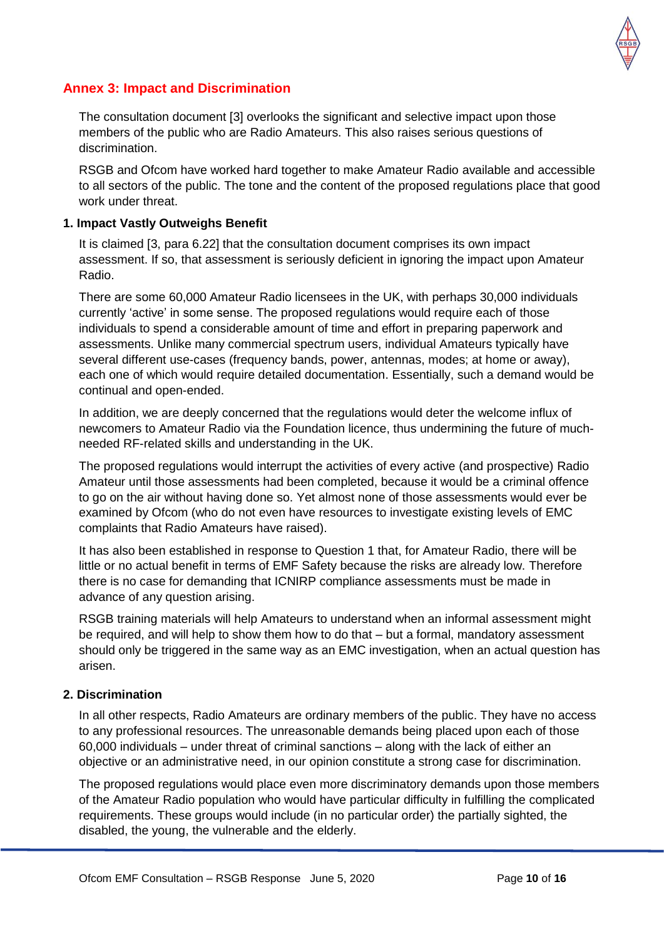

### **Annex 3: Impact and Discrimination**

The consultation document [3] overlooks the significant and selective impact upon those members of the public who are Radio Amateurs. This also raises serious questions of discrimination.

RSGB and Ofcom have worked hard together to make Amateur Radio available and accessible to all sectors of the public. The tone and the content of the proposed regulations place that good work under threat.

#### **1. Impact Vastly Outweighs Benefit**

It is claimed [3, para 6.22] that the consultation document comprises its own impact assessment. If so, that assessment is seriously deficient in ignoring the impact upon Amateur Radio.

There are some 60,000 Amateur Radio licensees in the UK, with perhaps 30,000 individuals currently 'active' in some sense. The proposed regulations would require each of those individuals to spend a considerable amount of time and effort in preparing paperwork and assessments. Unlike many commercial spectrum users, individual Amateurs typically have several different use-cases (frequency bands, power, antennas, modes; at home or away), each one of which would require detailed documentation. Essentially, such a demand would be continual and open-ended.

In addition, we are deeply concerned that the regulations would deter the welcome influx of newcomers to Amateur Radio via the Foundation licence, thus undermining the future of muchneeded RF-related skills and understanding in the UK.

The proposed regulations would interrupt the activities of every active (and prospective) Radio Amateur until those assessments had been completed, because it would be a criminal offence to go on the air without having done so. Yet almost none of those assessments would ever be examined by Ofcom (who do not even have resources to investigate existing levels of EMC complaints that Radio Amateurs have raised).

It has also been established in response to Question 1 that, for Amateur Radio, there will be little or no actual benefit in terms of EMF Safety because the risks are already low. Therefore there is no case for demanding that ICNIRP compliance assessments must be made in advance of any question arising.

RSGB training materials will help Amateurs to understand when an informal assessment might be required, and will help to show them how to do that – but a formal, mandatory assessment should only be triggered in the same way as an EMC investigation, when an actual question has arisen.

#### **2. Discrimination**

In all other respects, Radio Amateurs are ordinary members of the public. They have no access to any professional resources. The unreasonable demands being placed upon each of those 60,000 individuals – under threat of criminal sanctions – along with the lack of either an objective or an administrative need, in our opinion constitute a strong case for discrimination.

The proposed regulations would place even more discriminatory demands upon those members of the Amateur Radio population who would have particular difficulty in fulfilling the complicated requirements. These groups would include (in no particular order) the partially sighted, the disabled, the young, the vulnerable and the elderly.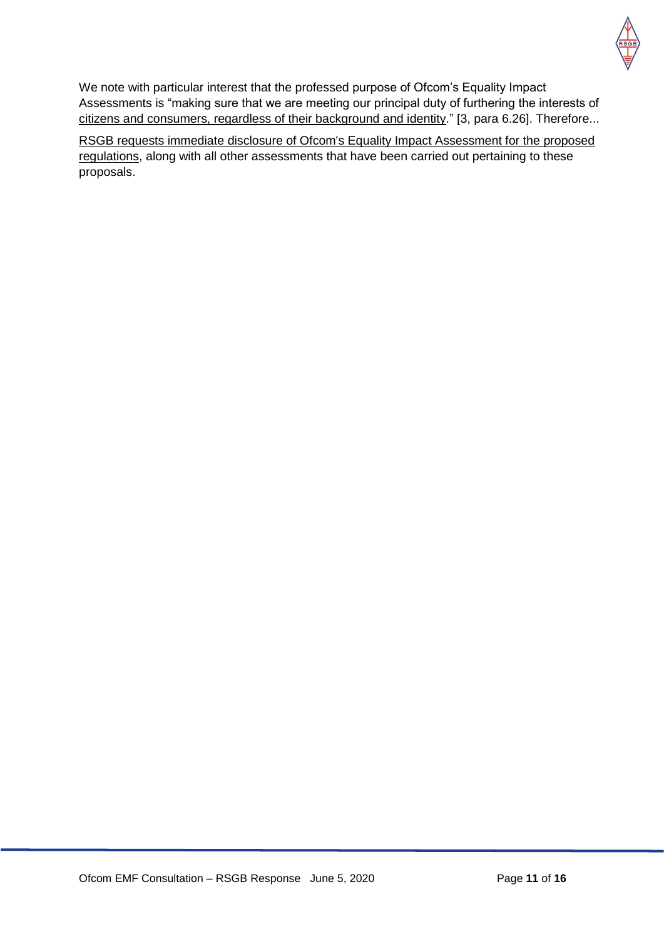

We note with particular interest that the professed purpose of Ofcom's Equality Impact Assessments is "making sure that we are meeting our principal duty of furthering the interests of citizens and consumers, regardless of their background and identity." [3, para 6.26]. Therefore...

RSGB requests immediate disclosure of Ofcom's Equality Impact Assessment for the proposed regulations, along with all other assessments that have been carried out pertaining to these proposals.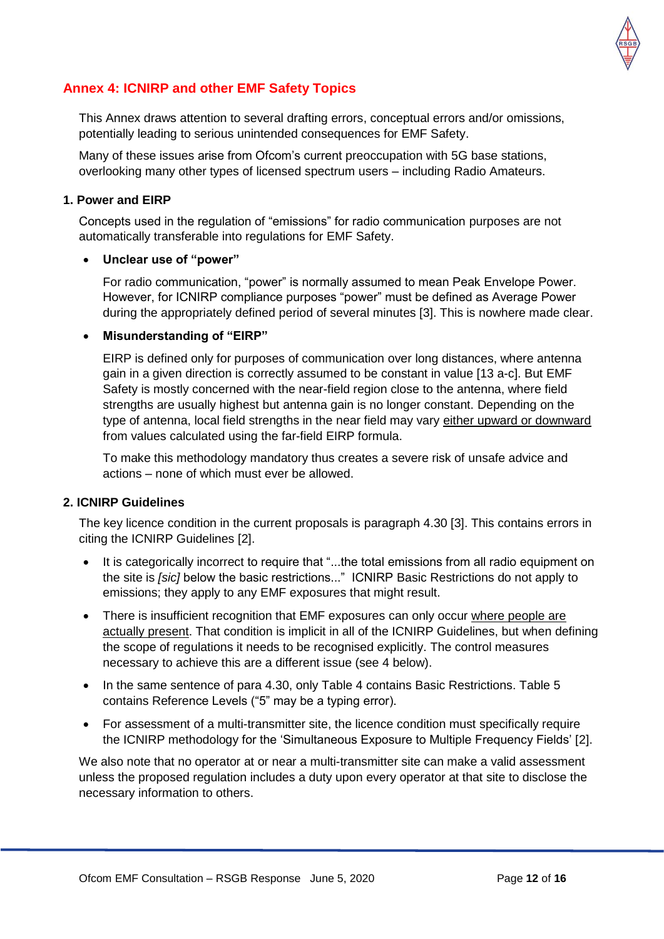

## **Annex 4: ICNIRP and other EMF Safety Topics**

This Annex draws attention to several drafting errors, conceptual errors and/or omissions, potentially leading to serious unintended consequences for EMF Safety.

Many of these issues arise from Ofcom's current preoccupation with 5G base stations, overlooking many other types of licensed spectrum users – including Radio Amateurs.

#### **1. Power and EIRP**

Concepts used in the regulation of "emissions" for radio communication purposes are not automatically transferable into regulations for EMF Safety.

#### **Unclear use of "power"**

For radio communication, "power" is normally assumed to mean Peak Envelope Power. However, for ICNIRP compliance purposes "power" must be defined as Average Power during the appropriately defined period of several minutes [3]. This is nowhere made clear.

#### **Misunderstanding of "EIRP"**

EIRP is defined only for purposes of communication over long distances, where antenna gain in a given direction is correctly assumed to be constant in value [13 a-c]. But EMF Safety is mostly concerned with the near-field region close to the antenna, where field strengths are usually highest but antenna gain is no longer constant. Depending on the type of antenna, local field strengths in the near field may vary either upward or downward from values calculated using the far-field EIRP formula.

To make this methodology mandatory thus creates a severe risk of unsafe advice and actions – none of which must ever be allowed.

#### **2. ICNIRP Guidelines**

The key licence condition in the current proposals is paragraph 4.30 [3]. This contains errors in citing the ICNIRP Guidelines [2].

- It is categorically incorrect to require that "...the total emissions from all radio equipment on the site is *[sic]* below the basic restrictions..." ICNIRP Basic Restrictions do not apply to emissions; they apply to any EMF exposures that might result.
- There is insufficient recognition that EMF exposures can only occur where people are actually present. That condition is implicit in all of the ICNIRP Guidelines, but when defining the scope of regulations it needs to be recognised explicitly. The control measures necessary to achieve this are a different issue (see 4 below).
- In the same sentence of para 4.30, only Table 4 contains Basic Restrictions. Table 5 contains Reference Levels ("5" may be a typing error).
- For assessment of a multi-transmitter site, the licence condition must specifically require the ICNIRP methodology for the 'Simultaneous Exposure to Multiple Frequency Fields' [2].

We also note that no operator at or near a multi-transmitter site can make a valid assessment unless the proposed regulation includes a duty upon every operator at that site to disclose the necessary information to others.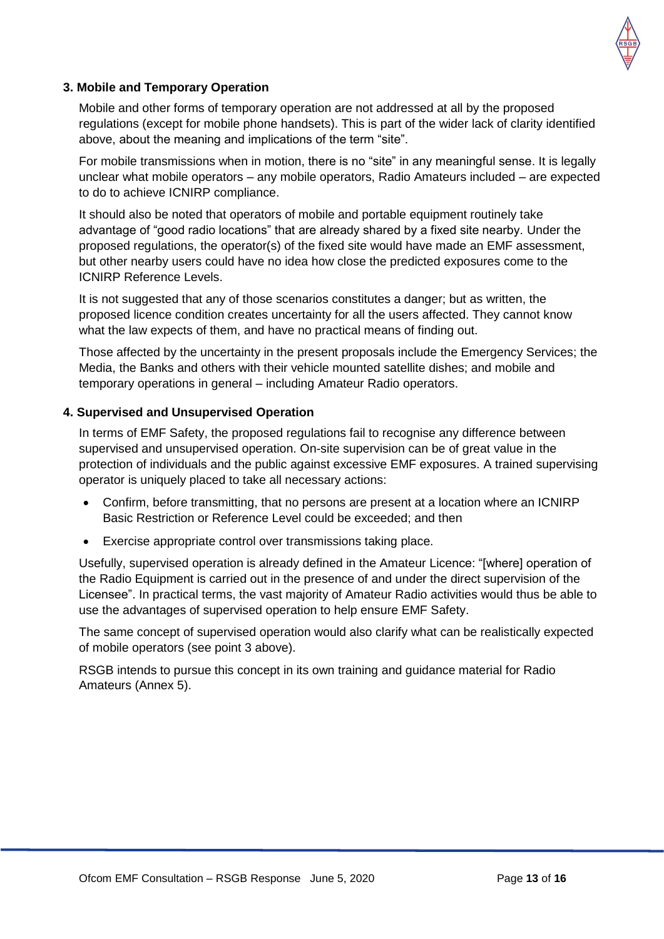

#### **3. Mobile and Temporary Operation**

Mobile and other forms of temporary operation are not addressed at all by the proposed regulations (except for mobile phone handsets). This is part of the wider lack of clarity identified above, about the meaning and implications of the term "site".

For mobile transmissions when in motion, there is no "site" in any meaningful sense. It is legally unclear what mobile operators – any mobile operators, Radio Amateurs included – are expected to do to achieve ICNIRP compliance.

It should also be noted that operators of mobile and portable equipment routinely take advantage of "good radio locations" that are already shared by a fixed site nearby. Under the proposed regulations, the operator(s) of the fixed site would have made an EMF assessment, but other nearby users could have no idea how close the predicted exposures come to the ICNIRP Reference Levels.

It is not suggested that any of those scenarios constitutes a danger; but as written, the proposed licence condition creates uncertainty for all the users affected. They cannot know what the law expects of them, and have no practical means of finding out.

Those affected by the uncertainty in the present proposals include the Emergency Services; the Media, the Banks and others with their vehicle mounted satellite dishes; and mobile and temporary operations in general – including Amateur Radio operators.

#### **4. Supervised and Unsupervised Operation**

In terms of EMF Safety, the proposed regulations fail to recognise any difference between supervised and unsupervised operation. On-site supervision can be of great value in the protection of individuals and the public against excessive EMF exposures. A trained supervising operator is uniquely placed to take all necessary actions:

- Confirm, before transmitting, that no persons are present at a location where an ICNIRP Basic Restriction or Reference Level could be exceeded; and then
- Exercise appropriate control over transmissions taking place.

Usefully, supervised operation is already defined in the Amateur Licence: "[where] operation of the Radio Equipment is carried out in the presence of and under the direct supervision of the Licensee". In practical terms, the vast majority of Amateur Radio activities would thus be able to use the advantages of supervised operation to help ensure EMF Safety.

The same concept of supervised operation would also clarify what can be realistically expected of mobile operators (see point 3 above).

RSGB intends to pursue this concept in its own training and guidance material for Radio Amateurs (Annex 5).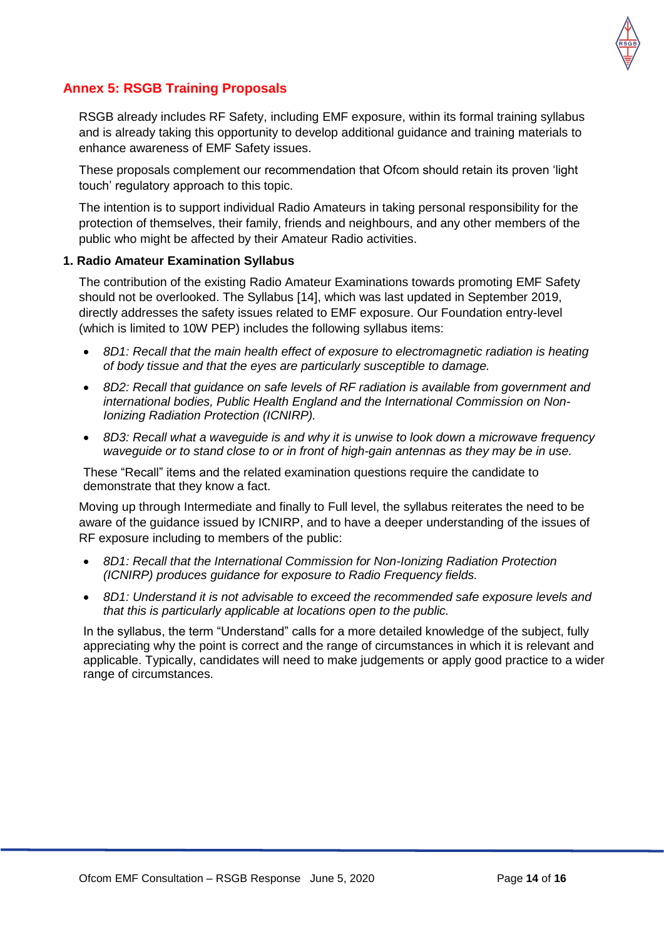

## **Annex 5: RSGB Training Proposals**

RSGB already includes RF Safety, including EMF exposure, within its formal training syllabus and is already taking this opportunity to develop additional guidance and training materials to enhance awareness of EMF Safety issues.

These proposals complement our recommendation that Ofcom should retain its proven 'light touch' regulatory approach to this topic.

The intention is to support individual Radio Amateurs in taking personal responsibility for the protection of themselves, their family, friends and neighbours, and any other members of the public who might be affected by their Amateur Radio activities.

#### **1. Radio Amateur Examination Syllabus**

The contribution of the existing Radio Amateur Examinations towards promoting EMF Safety should not be overlooked. The Syllabus [14], which was last updated in September 2019, directly addresses the safety issues related to EMF exposure. Our Foundation entry-level (which is limited to 10W PEP) includes the following syllabus items:

- *8D1: Recall that the main health effect of exposure to electromagnetic radiation is heating of body tissue and that the eyes are particularly susceptible to damage.*
- *8D2: Recall that guidance on safe levels of RF radiation is available from government and international bodies, Public Health England and the International Commission on Non-Ionizing Radiation Protection (ICNIRP).*
- *8D3: Recall what a waveguide is and why it is unwise to look down a microwave frequency waveguide or to stand close to or in front of high-gain antennas as they may be in use.*

These "Recall" items and the related examination questions require the candidate to demonstrate that they know a fact.

Moving up through Intermediate and finally to Full level, the syllabus reiterates the need to be aware of the guidance issued by ICNIRP, and to have a deeper understanding of the issues of RF exposure including to members of the public:

- *8D1: Recall that the International Commission for Non-Ionizing Radiation Protection (ICNIRP) produces guidance for exposure to Radio Frequency fields.*
- *8D1: Understand it is not advisable to exceed the recommended safe exposure levels and that this is particularly applicable at locations open to the public.*

In the syllabus, the term "Understand" calls for a more detailed knowledge of the subject, fully appreciating why the point is correct and the range of circumstances in which it is relevant and applicable. Typically, candidates will need to make judgements or apply good practice to a wider range of circumstances.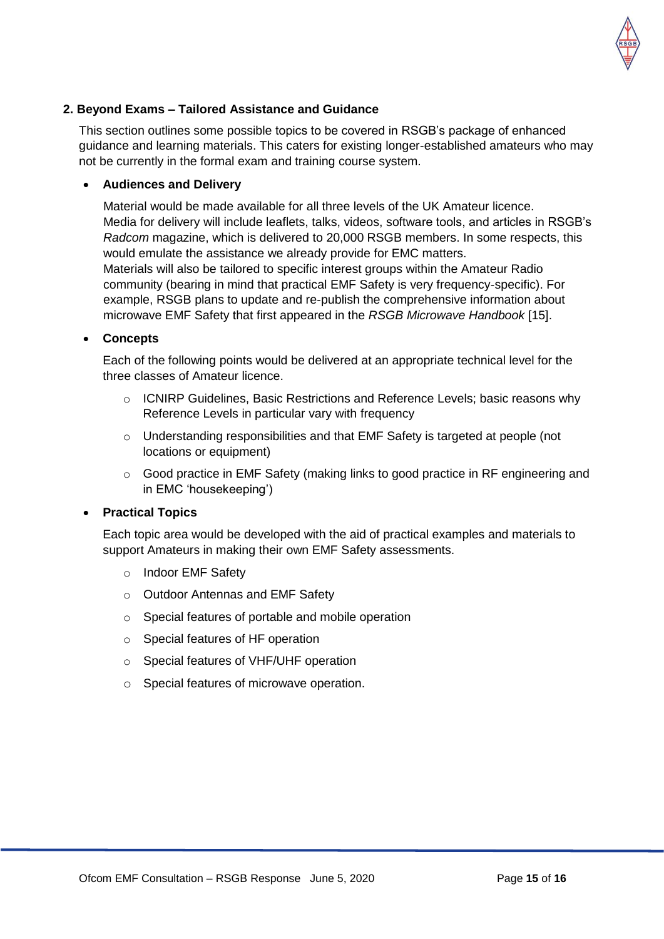

#### **2. Beyond Exams – Tailored Assistance and Guidance**

This section outlines some possible topics to be covered in RSGB's package of enhanced guidance and learning materials. This caters for existing longer-established amateurs who may not be currently in the formal exam and training course system.

#### **Audiences and Delivery**

Material would be made available for all three levels of the UK Amateur licence. Media for delivery will include leaflets, talks, videos, software tools, and articles in RSGB's *Radcom* magazine, which is delivered to 20,000 RSGB members. In some respects, this would emulate the assistance we already provide for EMC matters. Materials will also be tailored to specific interest groups within the Amateur Radio community (bearing in mind that practical EMF Safety is very frequency-specific). For example, RSGB plans to update and re-publish the comprehensive information about microwave EMF Safety that first appeared in the *RSGB Microwave Handbook* [15].

#### **Concepts**

Each of the following points would be delivered at an appropriate technical level for the three classes of Amateur licence.

- o ICNIRP Guidelines, Basic Restrictions and Reference Levels; basic reasons why Reference Levels in particular vary with frequency
- o Understanding responsibilities and that EMF Safety is targeted at people (not locations or equipment)
- $\circ$  Good practice in EMF Safety (making links to good practice in RF engineering and in EMC 'housekeeping')

#### **Practical Topics**

Each topic area would be developed with the aid of practical examples and materials to support Amateurs in making their own EMF Safety assessments.

- o Indoor EMF Safety
- o Outdoor Antennas and EMF Safety
- o Special features of portable and mobile operation
- o Special features of HF operation
- o Special features of VHF/UHF operation
- o Special features of microwave operation.